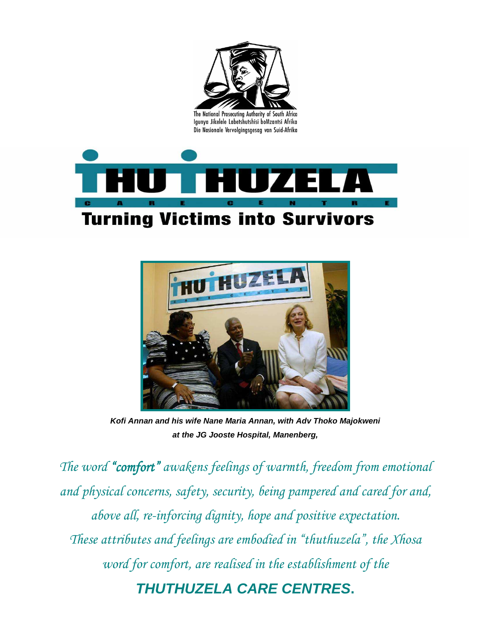

Igunya Jikelele Labetshutshisi boMzantsi Afrika Die Nasionale Vervolgingsgesag van Suid-Afrika





**Kofi Annan and his wife Nane Maria Annan, with Adv Thoko Majokweni at the JG Jooste Hospital, Manenberg,** 

The word "comfort" awakens feelings of warmth, freedom from emotional and physical concerns, safety, security, being pampered and cared for and, above all, re-inforcing dignity, hope and positive expectation. These attributes and feelings are embodied in "thuthuzela", the Xhosa word for comfort, are realised in the establishment of the **THUTHUZELA CARE CENTRES.**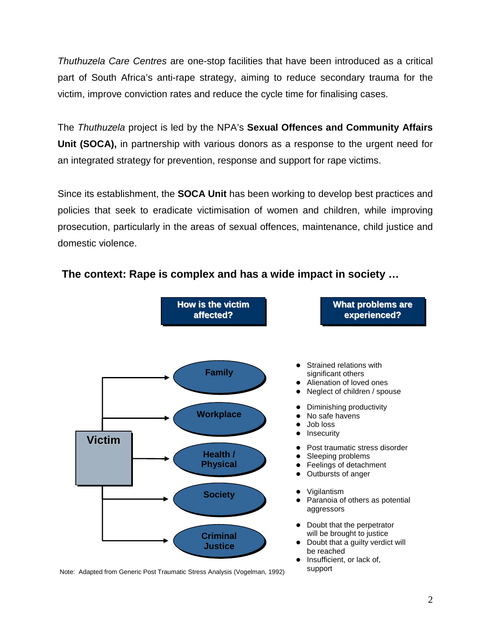Thuthuzela Care Centres are one-stop facilities that have been introduced as a critical part of South Africa's anti-rape strategy, aiming to reduce secondary trauma for the victim, improve conviction rates and reduce the cycle time for finalising cases.

The Thuthuzela project is led by the NPA's **Sexual Offences and Community Affairs Unit (SOCA),** in partnership with various donors as a response to the urgent need for an integrated strategy for prevention, response and support for rape victims.

Since its establishment, the **SOCA Unit** has been working to develop best practices and policies that seek to eradicate victimisation of women and children, while improving prosecution, particularly in the areas of sexual offences, maintenance, child justice and domestic violence.



**The context: Rape is complex and has a wide impact in society …**

Note: Adapted from Generic Post Traumatic Stress Analysis (Vogelman, 1992)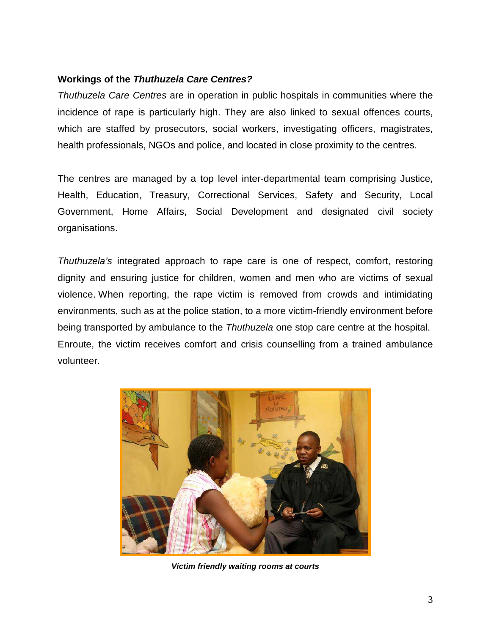#### **Workings of the Thuthuzela Care Centres?**

Thuthuzela Care Centres are in operation in public hospitals in communities where the incidence of rape is particularly high. They are also linked to sexual offences courts, which are staffed by prosecutors, social workers, investigating officers, magistrates, health professionals, NGOs and police, and located in close proximity to the centres.

The centres are managed by a top level inter-departmental team comprising Justice, Health, Education, Treasury, Correctional Services, Safety and Security, Local Government, Home Affairs, Social Development and designated civil society organisations.

Thuthuzela's integrated approach to rape care is one of respect, comfort, restoring dignity and ensuring justice for children, women and men who are victims of sexual violence. When reporting, the rape victim is removed from crowds and intimidating environments, such as at the police station, to a more victim-friendly environment before being transported by ambulance to the Thuthuzela one stop care centre at the hospital. Enroute, the victim receives comfort and crisis counselling from a trained ambulance volunteer.



**Victim friendly waiting rooms at courts**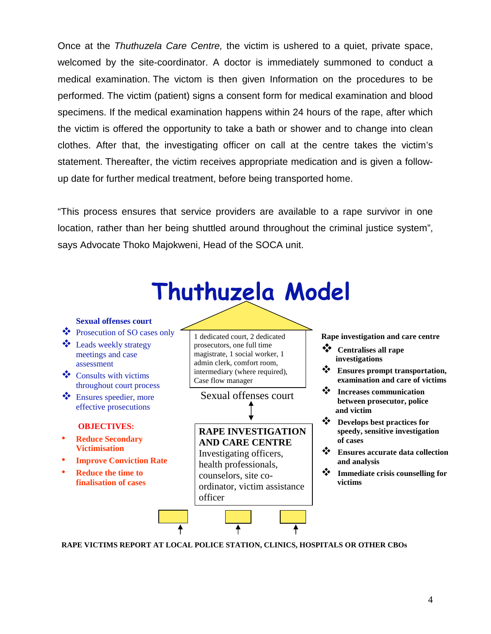Once at the Thuthuzela Care Centre, the victim is ushered to a quiet, private space, welcomed by the site-coordinator. A doctor is immediately summoned to conduct a medical examination. The victom is then given Information on the procedures to be performed. The victim (patient) signs a consent form for medical examination and blood specimens. If the medical examination happens within 24 hours of the rape, after which the victim is offered the opportunity to take a bath or shower and to change into clean clothes. After that, the investigating officer on call at the centre takes the victim's statement. Thereafter, the victim receives appropriate medication and is given a followup date for further medical treatment, before being transported home.

"This process ensures that service providers are available to a rape survivor in one location, rather than her being shuttled around throughout the criminal justice system", says Advocate Thoko Majokweni, Head of the SOCA unit.



**RAPE VICTIMS REPORT AT LOCAL POLICE STATION, CLINICS, HOSPITALS OR OTHER CBOs**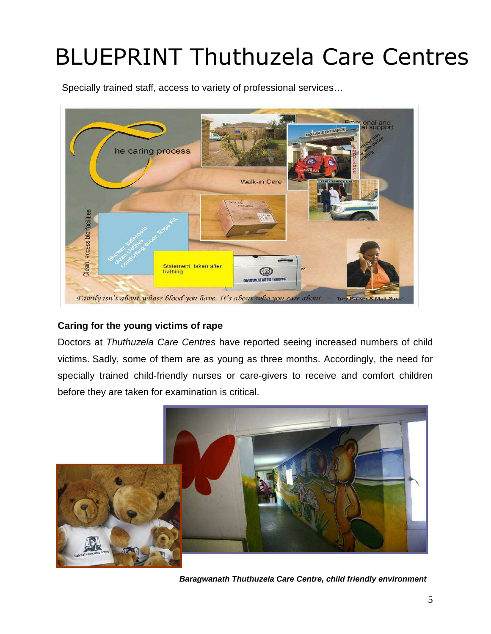# BLUEPRINT Thuthuzela Care Centres

Specially trained staff, access to variety of professional services…



## **Caring for the young victims of rape**

Doctors at Thuthuzela Care Centres have reported seeing increased numbers of child victims. Sadly, some of them are as young as three months. Accordingly, the need for specially trained child-friendly nurses or care-givers to receive and comfort children before they are taken for examination is critical.



**Baragwanath Thuthuzela Care Centre, child friendly environment**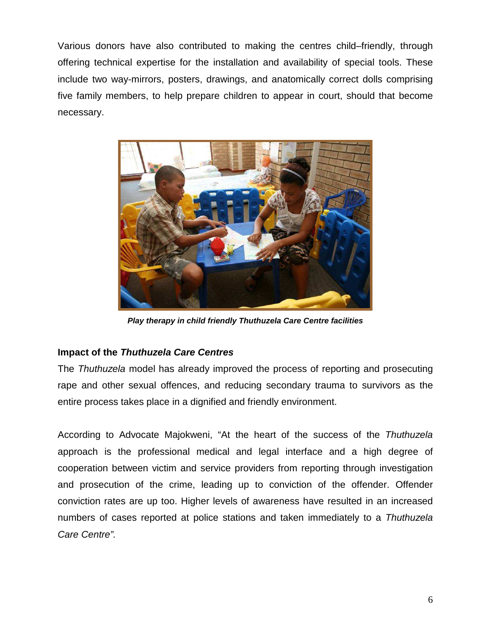Various donors have also contributed to making the centres child–friendly, through offering technical expertise for the installation and availability of special tools. These include two way-mirrors, posters, drawings, and anatomically correct dolls comprising five family members, to help prepare children to appear in court, should that become necessary.



**Play therapy in child friendly Thuthuzela Care Centre facilities** 

#### **Impact of the Thuthuzela Care Centres**

The *Thuthuzela* model has already improved the process of reporting and prosecuting rape and other sexual offences, and reducing secondary trauma to survivors as the entire process takes place in a dignified and friendly environment.

According to Advocate Majokweni, "At the heart of the success of the Thuthuzela approach is the professional medical and legal interface and a high degree of cooperation between victim and service providers from reporting through investigation and prosecution of the crime, leading up to conviction of the offender. Offender conviction rates are up too. Higher levels of awareness have resulted in an increased numbers of cases reported at police stations and taken immediately to a Thuthuzela Care Centre".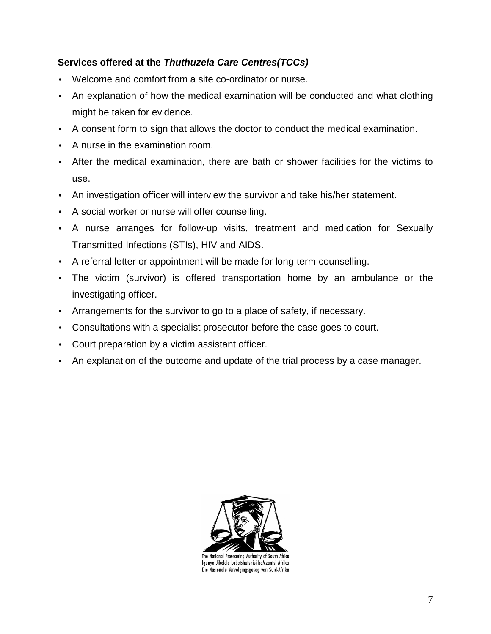## **Services offered at the Thuthuzela Care Centres(TCCs)**

- Welcome and comfort from a site co-ordinator or nurse.
- An explanation of how the medical examination will be conducted and what clothing might be taken for evidence.
- A consent form to sign that allows the doctor to conduct the medical examination.
- A nurse in the examination room.
- After the medical examination, there are bath or shower facilities for the victims to use.
- An investigation officer will interview the survivor and take his/her statement.
- A social worker or nurse will offer counselling.
- A nurse arranges for follow-up visits, treatment and medication for Sexually Transmitted Infections (STIs), HIV and AIDS.
- A referral letter or appointment will be made for long-term counselling.
- The victim (survivor) is offered transportation home by an ambulance or the investigating officer.
- Arrangements for the survivor to go to a place of safety, if necessary.
- Consultations with a specialist prosecutor before the case goes to court.
- Court preparation by a victim assistant officer.
- An explanation of the outcome and update of the trial process by a case manager.



The National Prosecuting Authority of South Africa Igunya Jikelele Labetshutshisi boMzantsi Afrika Die Nasionale Vervolgingsgesag van Suid-Afrika